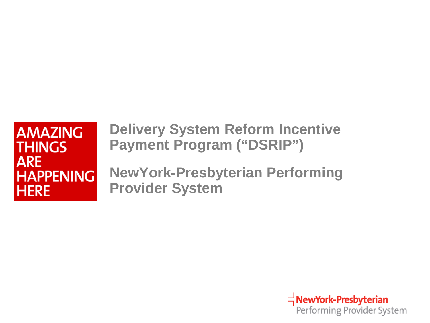### **AMAZING THINGS ARE HAPPENING HERE**

**Delivery System Reform Incentive Payment Program ("DSRIP")** 

**NewYork-Presbyterian Performing Provider System**

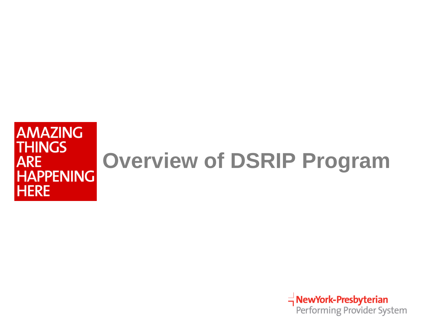#### **AMAZING THINGS Overview of DSRIP ProgramARE HAPPENING HERE**

TuewYork-Presbyterian<br>Performing Provider System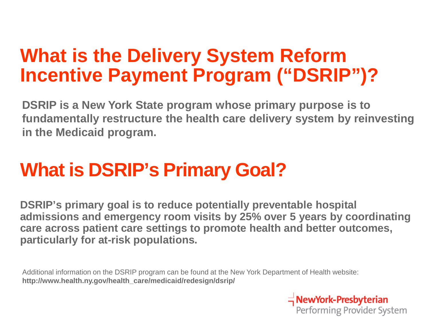## **What is the Delivery System Reform Incentive Payment Program ("DSRIP")?**

**DSRIP is a New York State program whose primary purpose is to fundamentally restructure the health care delivery system by reinvesting in the Medicaid program.** 

## **What is DSRIP's Primary Goal?**

**DSRIP's primary goal is to reduce potentially preventable hospital admissions and emergency room visits by 25% over 5 years by coordinating care across patient care settings to promote health and better outcomes, particularly for at-risk populations.** 

Additional information on the DSRIP program can be found at the New York Department of Health website: **http://www.health.ny.gov/health\_care/medicaid/redesign/dsrip/**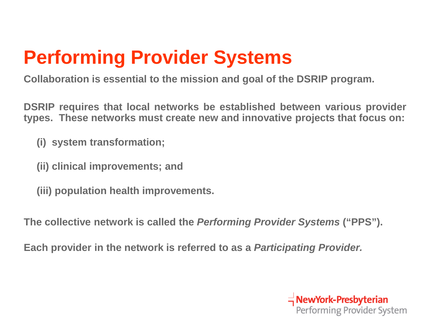# **Performing Provider Systems**

**Collaboration is essential to the mission and goal of the DSRIP program.**

**DSRIP requires that local networks be established between various provider types. These networks must create new and innovative projects that focus on:**

**(i) system transformation;**

**(ii) clinical improvements; and**

**(iii) population health improvements.**

**The collective network is called the** *Performing Provider Systems* **("PPS").**

**Each provider in the network is referred to as a** *Participating Provider.*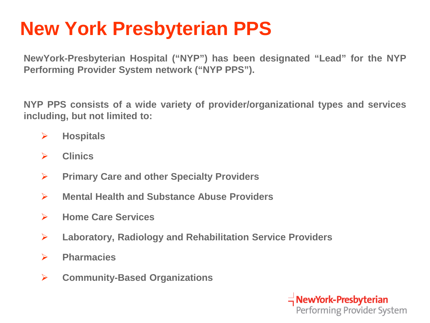## **New York Presbyterian PPS**

**NewYork-Presbyterian Hospital ("NYP") has been designated "Lead" for the NYP Performing Provider System network ("NYP PPS").**

**NYP PPS consists of a wide variety of provider/organizational types and services including, but not limited to:**

- **Hospitals**
- **Clinics**
- **Primary Care and other Specialty Providers**
- **Mental Health and Substance Abuse Providers**
- **Home Care Services**
- **Laboratory, Radiology and Rehabilitation Service Providers**
- **Pharmacies**
- **Community-Based Organizations**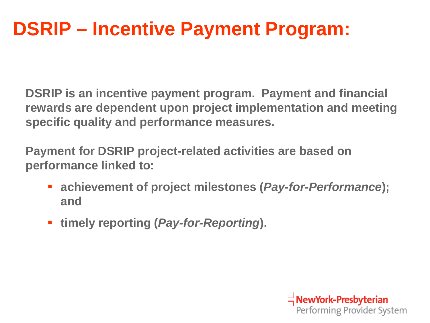## **DSRIP – Incentive Payment Program:**

**DSRIP is an incentive payment program. Payment and financial rewards are dependent upon project implementation and meeting specific quality and performance measures.** 

**Payment for DSRIP project-related activities are based on performance linked to:**

- **achievement of project milestones (***Pay-for-Performance***); and**
- **timely reporting (***Pay-for-Reporting***).**

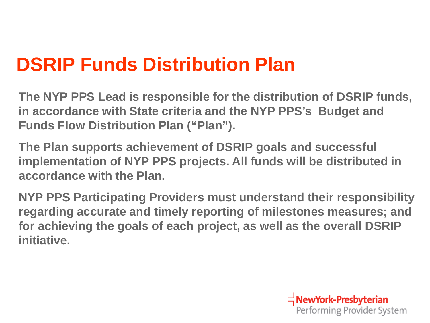## **DSRIP Funds Distribution Plan**

**The NYP PPS Lead is responsible for the distribution of DSRIP funds, in accordance with State criteria and the NYP PPS's Budget and Funds Flow Distribution Plan ("Plan").**

**The Plan supports achievement of DSRIP goals and successful implementation of NYP PPS projects. All funds will be distributed in accordance with the Plan.** 

**NYP PPS Participating Providers must understand their responsibility regarding accurate and timely reporting of milestones measures; and for achieving the goals of each project, as well as the overall DSRIP initiative.**

 $\equiv$  NewYork-Presbyterian

Performing Provider System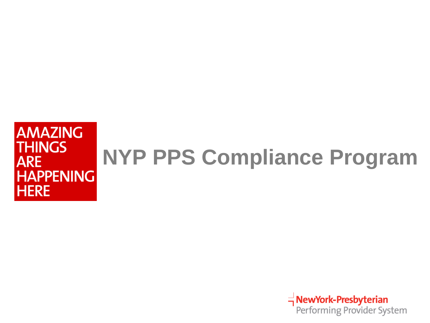#### **AMAZING THINGS NYP PPS Compliance ProgramARE HAPPENING HERE**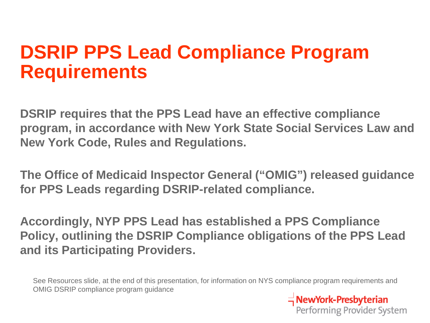### **DSRIP PPS Lead Compliance Program Requirements**

**DSRIP requires that the PPS Lead have an effective compliance program, in accordance with New York State Social Services Law and New York Code, Rules and Regulations.** 

**The Office of Medicaid Inspector General ("OMIG") released guidance for PPS Leads regarding DSRIP-related compliance.** 

**Accordingly, NYP PPS Lead has established a PPS Compliance Policy, outlining the DSRIP Compliance obligations of the PPS Lead and its Participating Providers.** 

See Resources slide, at the end of this presentation, for information on NYS compliance program requirements and OMIG DSRIP compliance program guidance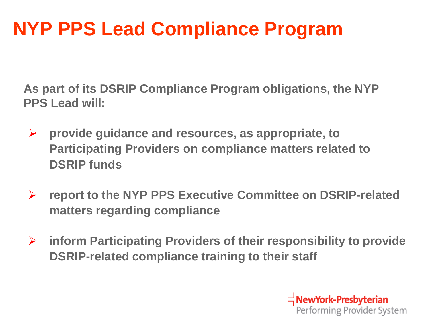## **NYP PPS Lead Compliance Program**

**As part of its DSRIP Compliance Program obligations, the NYP PPS Lead will:**

- **provide guidance and resources, as appropriate, to Participating Providers on compliance matters related to DSRIP funds**
- **report to the NYP PPS Executive Committee on DSRIP-related matters regarding compliance**
- **inform Participating Providers of their responsibility to provide DSRIP-related compliance training to their staff**

 $\equiv$  NewYork-Presbyterian Performing Provider System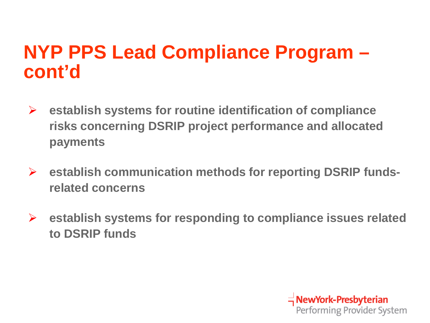### **NYP PPS Lead Compliance Program – cont'd**

- **establish systems for routine identification of compliance risks concerning DSRIP project performance and allocated payments**
- **establish communication methods for reporting DSRIP fundsrelated concerns**
- **establish systems for responding to compliance issues related to DSRIP funds**

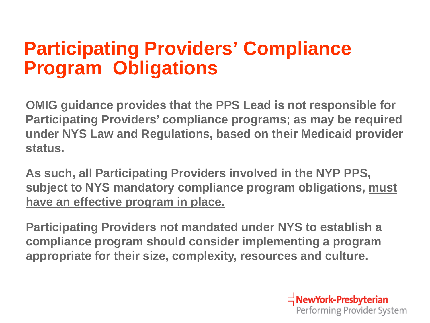## **Participating Providers' Compliance Program Obligations**

**OMIG guidance provides that the PPS Lead is not responsible for Participating Providers' compliance programs; as may be required under NYS Law and Regulations, based on their Medicaid provider status.**

**As such, all Participating Providers involved in the NYP PPS, subject to NYS mandatory compliance program obligations, must have an effective program in place.**

**Participating Providers not mandated under NYS to establish a compliance program should consider implementing a program appropriate for their size, complexity, resources and culture.**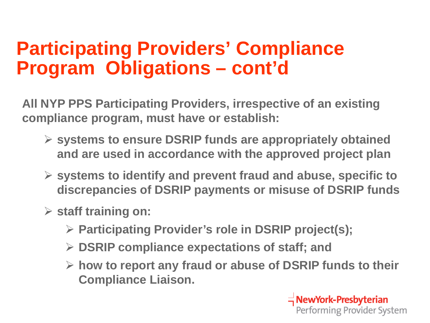## **Participating Providers' Compliance Program Obligations – cont'd**

**All NYP PPS Participating Providers, irrespective of an existing compliance program, must have or establish:** 

- **systems to ensure DSRIP funds are appropriately obtained and are used in accordance with the approved project plan**
- **systems to identify and prevent fraud and abuse, specific to discrepancies of DSRIP payments or misuse of DSRIP funds**
- **staff training on:**
	- **Participating Provider's role in DSRIP project(s);**
	- **DSRIP compliance expectations of staff; and**
	- **how to report any fraud or abuse of DSRIP funds to their Compliance Liaison.**

 $\equiv$  NewYork-Presbyterian Performing Provider System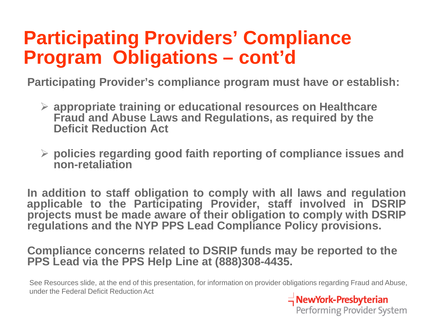## **Participating Providers' Compliance Program Obligations – cont'd**

**Participating Provider's compliance program must have or establish:**

- **appropriate training or educational resources on Healthcare Fraud and Abuse Laws and Regulations, as required by the Deficit Reduction Act**
- **policies regarding good faith reporting of compliance issues and non-retaliation**

**In addition to staff obligation to comply with all laws and regulation applicable to the Participating Provider, staff involved in DSRIP projects must be made aware of their obligation to comply with DSRIP regulations and the NYP PPS Lead Compliance Policy provisions.**

**Compliance concerns related to DSRIP funds may be reported to the PPS Lead via the PPS Help Line at (888)308-4435.**

See Resources slide, at the end of this presentation, for information on provider obligations regarding Fraud and Abuse, under the Federal Deficit Reduction Act